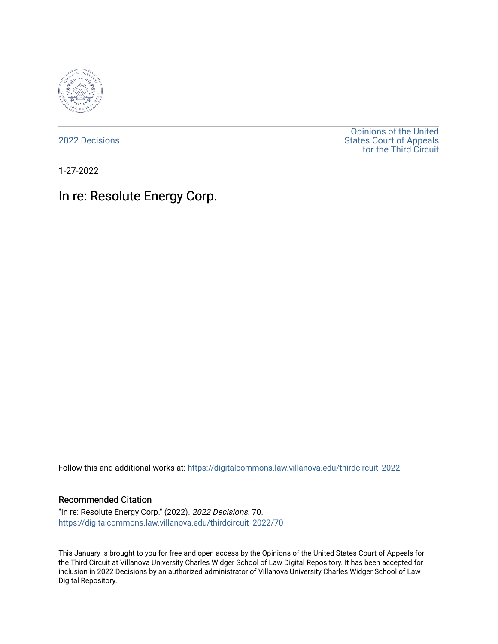

[2022 Decisions](https://digitalcommons.law.villanova.edu/thirdcircuit_2022)

[Opinions of the United](https://digitalcommons.law.villanova.edu/thirdcircuit)  [States Court of Appeals](https://digitalcommons.law.villanova.edu/thirdcircuit)  [for the Third Circuit](https://digitalcommons.law.villanova.edu/thirdcircuit) 

1-27-2022

# In re: Resolute Energy Corp.

Follow this and additional works at: [https://digitalcommons.law.villanova.edu/thirdcircuit\\_2022](https://digitalcommons.law.villanova.edu/thirdcircuit_2022?utm_source=digitalcommons.law.villanova.edu%2Fthirdcircuit_2022%2F70&utm_medium=PDF&utm_campaign=PDFCoverPages) 

#### Recommended Citation

"In re: Resolute Energy Corp." (2022). 2022 Decisions. 70. [https://digitalcommons.law.villanova.edu/thirdcircuit\\_2022/70](https://digitalcommons.law.villanova.edu/thirdcircuit_2022/70?utm_source=digitalcommons.law.villanova.edu%2Fthirdcircuit_2022%2F70&utm_medium=PDF&utm_campaign=PDFCoverPages)

This January is brought to you for free and open access by the Opinions of the United States Court of Appeals for the Third Circuit at Villanova University Charles Widger School of Law Digital Repository. It has been accepted for inclusion in 2022 Decisions by an authorized administrator of Villanova University Charles Widger School of Law Digital Repository.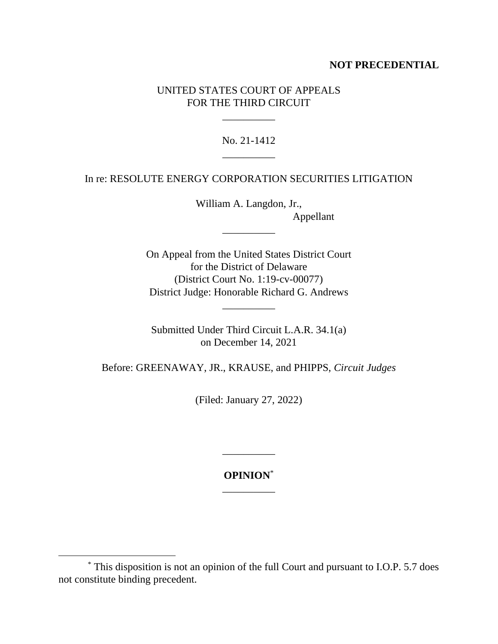## **NOT PRECEDENTIAL**

## UNITED STATES COURT OF APPEALS FOR THE THIRD CIRCUIT

\_\_\_\_\_\_\_\_\_\_

No. 21-1412 \_\_\_\_\_\_\_\_\_\_

In re: RESOLUTE ENERGY CORPORATION SECURITIES LITIGATION

William A. Langdon, Jr., Appellant

\_\_\_\_\_\_\_\_\_\_

On Appeal from the United States District Court for the District of Delaware (District Court No. 1:19-cv-00077) District Judge: Honorable Richard G. Andrews

Submitted Under Third Circuit L.A.R. 34.1(a) on December 14, 2021

\_\_\_\_\_\_\_\_\_\_

Before: GREENAWAY, JR., KRAUSE, and PHIPPS, *Circuit Judges*

(Filed: January 27, 2022)

**OPINION**\* \_\_\_\_\_\_\_\_\_\_

\_\_\_\_\_\_\_\_\_\_

<sup>\*</sup> This disposition is not an opinion of the full Court and pursuant to I.O.P. 5.7 does not constitute binding precedent.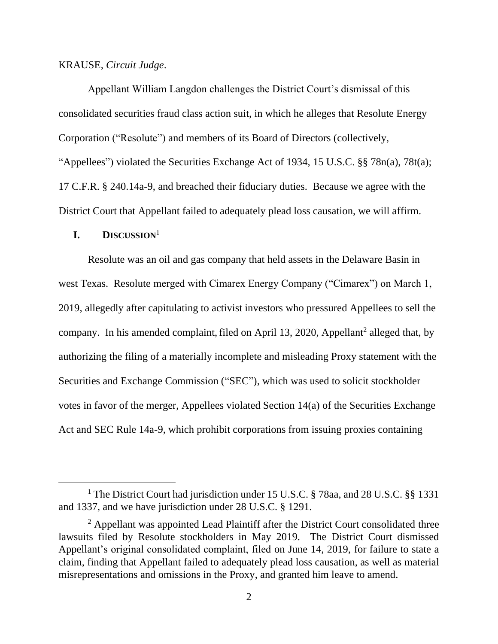#### KRAUSE, *Circuit Judge*.

Appellant William Langdon challenges the District Court's dismissal of this consolidated securities fraud class action suit, in which he alleges that Resolute Energy Corporation ("Resolute") and members of its Board of Directors (collectively, "Appellees") violated the Securities Exchange Act of 1934, 15 U.S.C. §§ 78n(a), 78t(a); 17 C.F.R. § 240.14a-9, and breached their fiduciary duties. Because we agree with the District Court that Appellant failed to adequately plead loss causation, we will affirm.

## **I. DISCUSSION** 1

Resolute was an oil and gas company that held assets in the Delaware Basin in west Texas. Resolute merged with Cimarex Energy Company ("Cimarex") on March 1, 2019, allegedly after capitulating to activist investors who pressured Appellees to sell the company. In his amended complaint, filed on April 13, 2020, Appellant<sup>2</sup> alleged that, by authorizing the filing of a materially incomplete and misleading Proxy statement with the Securities and Exchange Commission ("SEC"), which was used to solicit stockholder votes in favor of the merger, Appellees violated Section 14(a) of the Securities Exchange Act and SEC Rule 14a-9, which prohibit corporations from issuing proxies containing

<sup>&</sup>lt;sup>1</sup> The District Court had jurisdiction under 15 U.S.C. § 78aa, and 28 U.S.C. §§ 1331 and 1337, and we have jurisdiction under 28 U.S.C. § 1291.

 $<sup>2</sup>$  Appellant was appointed Lead Plaintiff after the District Court consolidated three</sup> lawsuits filed by Resolute stockholders in May 2019. The District Court dismissed Appellant's original consolidated complaint, filed on June 14, 2019, for failure to state a claim, finding that Appellant failed to adequately plead loss causation, as well as material misrepresentations and omissions in the Proxy, and granted him leave to amend.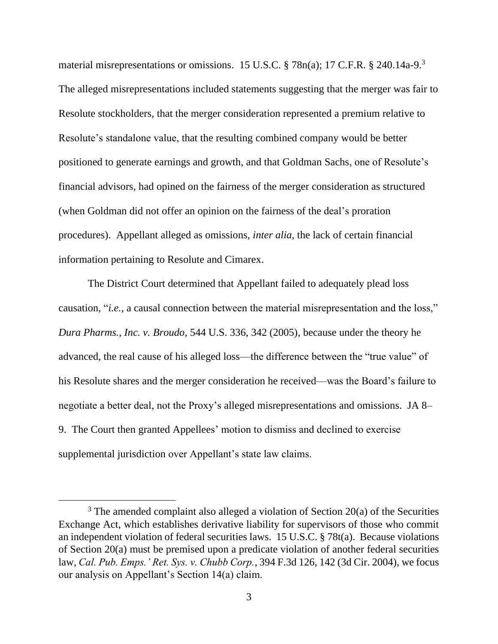material misrepresentations or omissions. 15 U.S.C. § 78n(a); 17 C.F.R. § 240.14a-9.<sup>3</sup> The alleged misrepresentations included statements suggesting that the merger was fair to Resolute stockholders, that the merger consideration represented a premium relative to Resolute's standalone value, that the resulting combined company would be better positioned to generate earnings and growth, and that Goldman Sachs, one of Resolute's financial advisors, had opined on the fairness of the merger consideration as structured (when Goldman did not offer an opinion on the fairness of the deal's proration procedures). Appellant alleged as omissions, *inter alia*, the lack of certain financial information pertaining to Resolute and Cimarex.

The District Court determined that Appellant failed to adequately plead loss causation, "*i.e.*, a causal connection between the material misrepresentation and the loss," *Dura Pharms., Inc. v. Broudo*, 544 U.S. 336, 342 (2005), because under the theory he advanced, the real cause of his alleged loss—the difference between the "true value" of his Resolute shares and the merger consideration he received—was the Board's failure to negotiate a better deal, not the Proxy's alleged misrepresentations and omissions. JA 8– 9. The Court then granted Appellees' motion to dismiss and declined to exercise supplemental jurisdiction over Appellant's state law claims.

 $3$  The amended complaint also alleged a violation of Section 20(a) of the Securities Exchange Act, which establishes derivative liability for supervisors of those who commit an independent violation of federal securities laws. 15 U.S.C. § 78t(a). Because violations of Section 20(a) must be premised upon a predicate violation of another federal securities law, *Cal. Pub. Emps.' Ret. Sys. v. Chubb Corp.*, 394 F.3d 126, 142 (3d Cir. 2004), we focus our analysis on Appellant's Section 14(a) claim.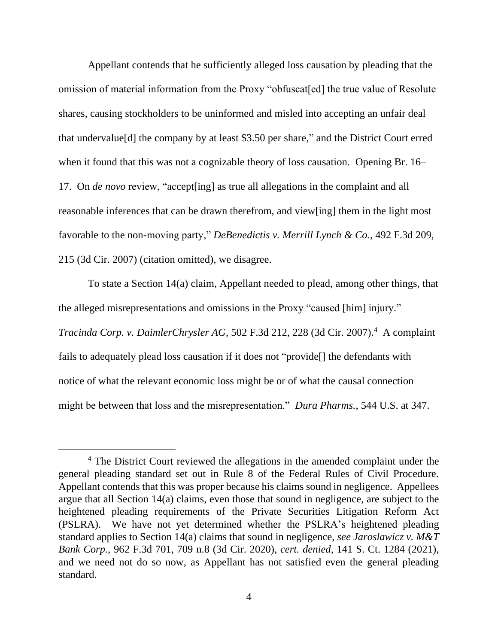Appellant contends that he sufficiently alleged loss causation by pleading that the omission of material information from the Proxy "obfuscat[ed] the true value of Resolute shares, causing stockholders to be uninformed and misled into accepting an unfair deal that undervalue[d] the company by at least \$3.50 per share," and the District Court erred when it found that this was not a cognizable theory of loss causation. Opening Br. 16– 17. On *de novo* review, "accept[ing] as true all allegations in the complaint and all reasonable inferences that can be drawn therefrom, and view[ing] them in the light most favorable to the non-moving party," *DeBenedictis v. Merrill Lynch & Co.*, 492 F.3d 209, 215 (3d Cir. 2007) (citation omitted), we disagree.

To state a Section 14(a) claim, Appellant needed to plead, among other things, that the alleged misrepresentations and omissions in the Proxy "caused [him] injury." *Tracinda Corp. v. DaimlerChrysler AG*, 502 F.3d 212, 228 (3d Cir. 2007). 4 A complaint fails to adequately plead loss causation if it does not "provide[] the defendants with notice of what the relevant economic loss might be or of what the causal connection

might be between that loss and the misrepresentation." *Dura Pharms.*, 544 U.S. at 347.

<sup>4</sup> The District Court reviewed the allegations in the amended complaint under the general pleading standard set out in Rule 8 of the Federal Rules of Civil Procedure. Appellant contends that this was proper because his claims sound in negligence. Appellees argue that all Section 14(a) claims, even those that sound in negligence, are subject to the heightened pleading requirements of the Private Securities Litigation Reform Act (PSLRA). We have not yet determined whether the PSLRA's heightened pleading standard applies to Section 14(a) claims that sound in negligence, *see Jaroslawicz v. M&T Bank Corp.*, 962 F.3d 701, 709 n.8 (3d Cir. 2020), *cert. denied*, 141 S. Ct. 1284 (2021), and we need not do so now, as Appellant has not satisfied even the general pleading standard.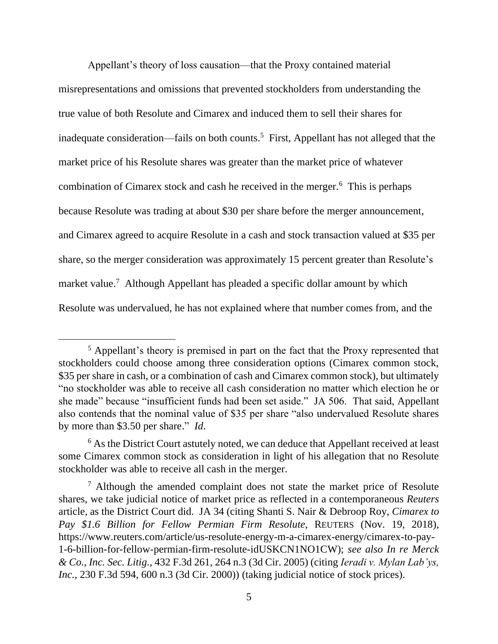Appellant's theory of loss causation—that the Proxy contained material misrepresentations and omissions that prevented stockholders from understanding the true value of both Resolute and Cimarex and induced them to sell their shares for inadequate consideration—fails on both counts.<sup>5</sup> First, Appellant has not alleged that the market price of his Resolute shares was greater than the market price of whatever combination of Cimarex stock and cash he received in the merger.<sup>6</sup> This is perhaps because Resolute was trading at about \$30 per share before the merger announcement, and Cimarex agreed to acquire Resolute in a cash and stock transaction valued at \$35 per share, so the merger consideration was approximately 15 percent greater than Resolute's market value.<sup>7</sup> Although Appellant has pleaded a specific dollar amount by which Resolute was undervalued, he has not explained where that number comes from, and the

<sup>5</sup> Appellant's theory is premised in part on the fact that the Proxy represented that stockholders could choose among three consideration options (Cimarex common stock, \$35 per share in cash, or a combination of cash and Cimarex common stock), but ultimately "no stockholder was able to receive all cash consideration no matter which election he or she made" because "insufficient funds had been set aside." JA 506. That said, Appellant also contends that the nominal value of \$35 per share "also undervalued Resolute shares by more than \$3.50 per share." *Id*.

<sup>&</sup>lt;sup>6</sup> As the District Court astutely noted, we can deduce that Appellant received at least some Cimarex common stock as consideration in light of his allegation that no Resolute stockholder was able to receive all cash in the merger.

<sup>7</sup> Although the amended complaint does not state the market price of Resolute shares, we take judicial notice of market price as reflected in a contemporaneous *Reuters* article, as the District Court did. JA 34 (citing Shanti S. Nair & Debroop Roy, *Cimarex to Pay \$1.6 Billion for Fellow Permian Firm Resolute*, REUTERS (Nov. 19, 2018), https://www.reuters.com/article/us-resolute-energy-m-a-cimarex-energy/cimarex-to-pay-1-6-billion-for-fellow-permian-firm-resolute-idUSKCN1NO1CW); *see also In re Merck & Co., Inc. Sec. Litig.*, 432 F.3d 261, 264 n.3 (3d Cir. 2005) (citing *Ieradi v. Mylan Lab'ys, Inc.*, 230 F.3d 594, 600 n.3 (3d Cir. 2000)) (taking judicial notice of stock prices).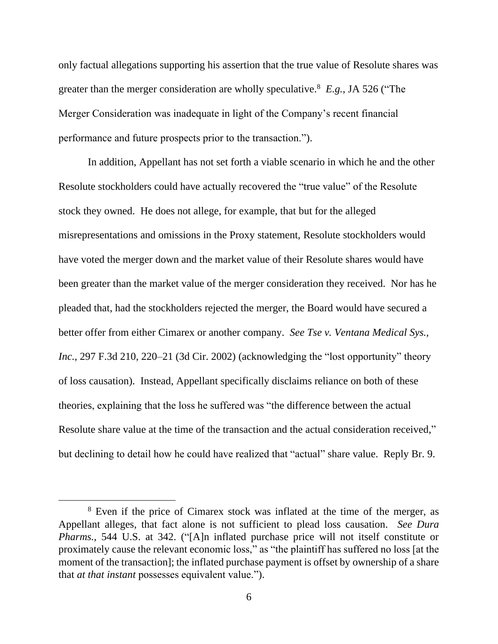only factual allegations supporting his assertion that the true value of Resolute shares was greater than the merger consideration are wholly speculative.<sup>8</sup> *E.g.*, JA 526 ("The Merger Consideration was inadequate in light of the Company's recent financial performance and future prospects prior to the transaction.").

In addition, Appellant has not set forth a viable scenario in which he and the other Resolute stockholders could have actually recovered the "true value" of the Resolute stock they owned. He does not allege, for example, that but for the alleged misrepresentations and omissions in the Proxy statement, Resolute stockholders would have voted the merger down and the market value of their Resolute shares would have been greater than the market value of the merger consideration they received. Nor has he pleaded that, had the stockholders rejected the merger, the Board would have secured a better offer from either Cimarex or another company. *See Tse v. Ventana Medical Sys., Inc.*, 297 F.3d 210, 220–21 (3d Cir. 2002) (acknowledging the "lost opportunity" theory of loss causation). Instead, Appellant specifically disclaims reliance on both of these theories, explaining that the loss he suffered was "the difference between the actual Resolute share value at the time of the transaction and the actual consideration received," but declining to detail how he could have realized that "actual" share value. Reply Br. 9.

<sup>8</sup> Even if the price of Cimarex stock was inflated at the time of the merger, as Appellant alleges, that fact alone is not sufficient to plead loss causation. *See Dura Pharms.*, 544 U.S. at 342. ("[A]n inflated purchase price will not itself constitute or proximately cause the relevant economic loss," as "the plaintiff has suffered no loss [at the moment of the transaction]; the inflated purchase payment is offset by ownership of a share that *at that instant* possesses equivalent value.").